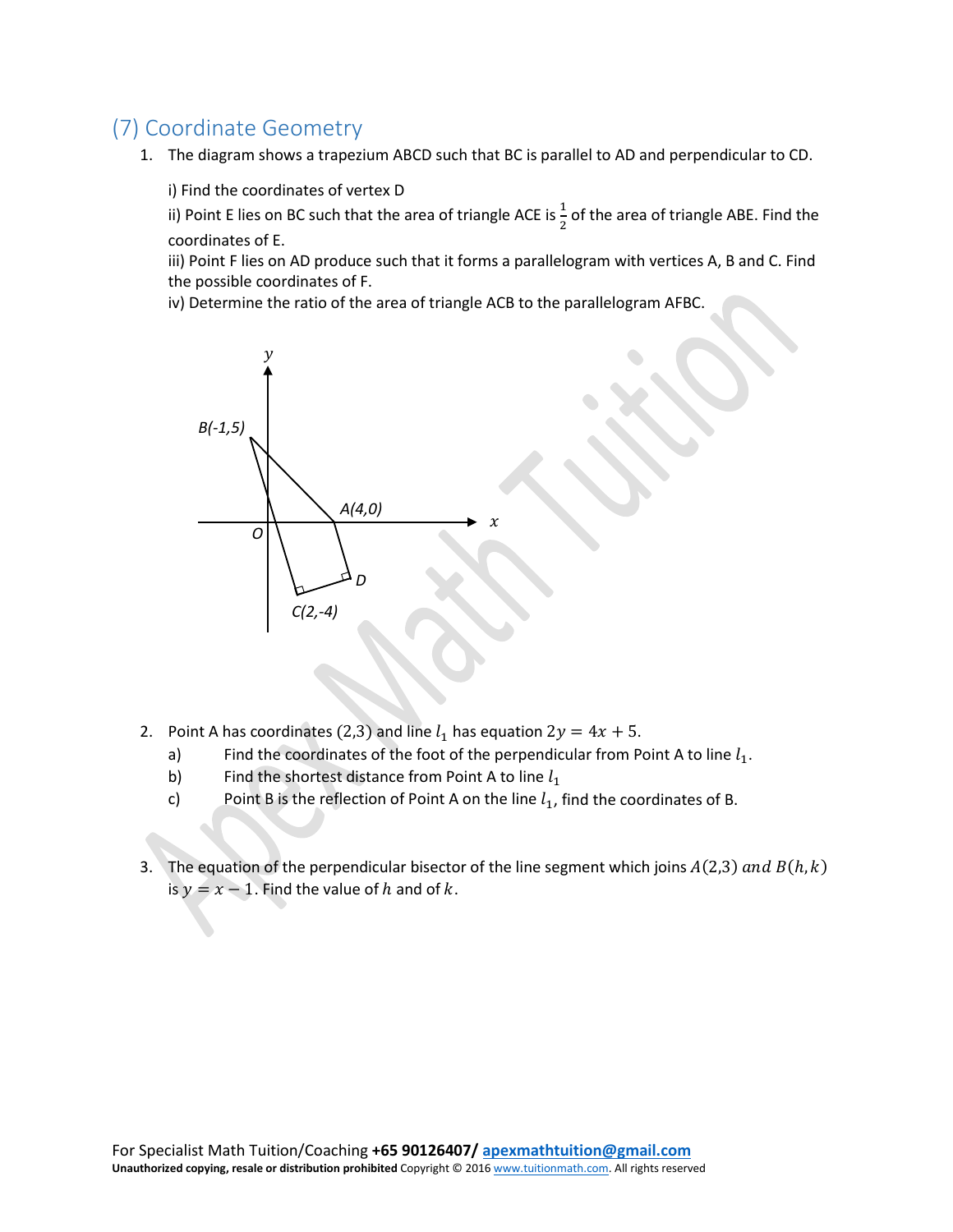## (7) Coordinate Geometry

1. The diagram shows a trapezium ABCD such that BC is parallel to AD and perpendicular to CD.

i) Find the coordinates of vertex D

ii) Point E lies on BC such that the area of triangle ACE is  $\frac{1}{2}$  of the area of triangle ABE. Find the coordinates of E.

iii) Point F lies on AD produce such that it forms a parallelogram with vertices A, B and C. Find the possible coordinates of F.

iv) Determine the ratio of the area of triangle ACB to the parallelogram AFBC.



- 2. Point A has coordinates (2,3) and line  $l_1$  has equation  $2y = 4x + 5$ .<br>a) Find the coordinates of the foot of the perpendicular from P
	- a) Find the coordinates of the foot of the perpendicular from Point A to line  $l_1$ .<br>b) Find the shortest distance from Point A to line  $l_1$
	-
	- b) Find the shortest distance from Point A to line  $l_1$ <br>c) Point B is the reflection of Point A on the line  $l_1$ , Point B is the reflection of Point A on the line  $l_1$ , find the coordinates of B.
- 3. The equation of the perpendicular bisector of the line segment which joins  $A(2,3)$  and  $B(h, k)$ is  $y = x - 1$ . Find the value of h and of k.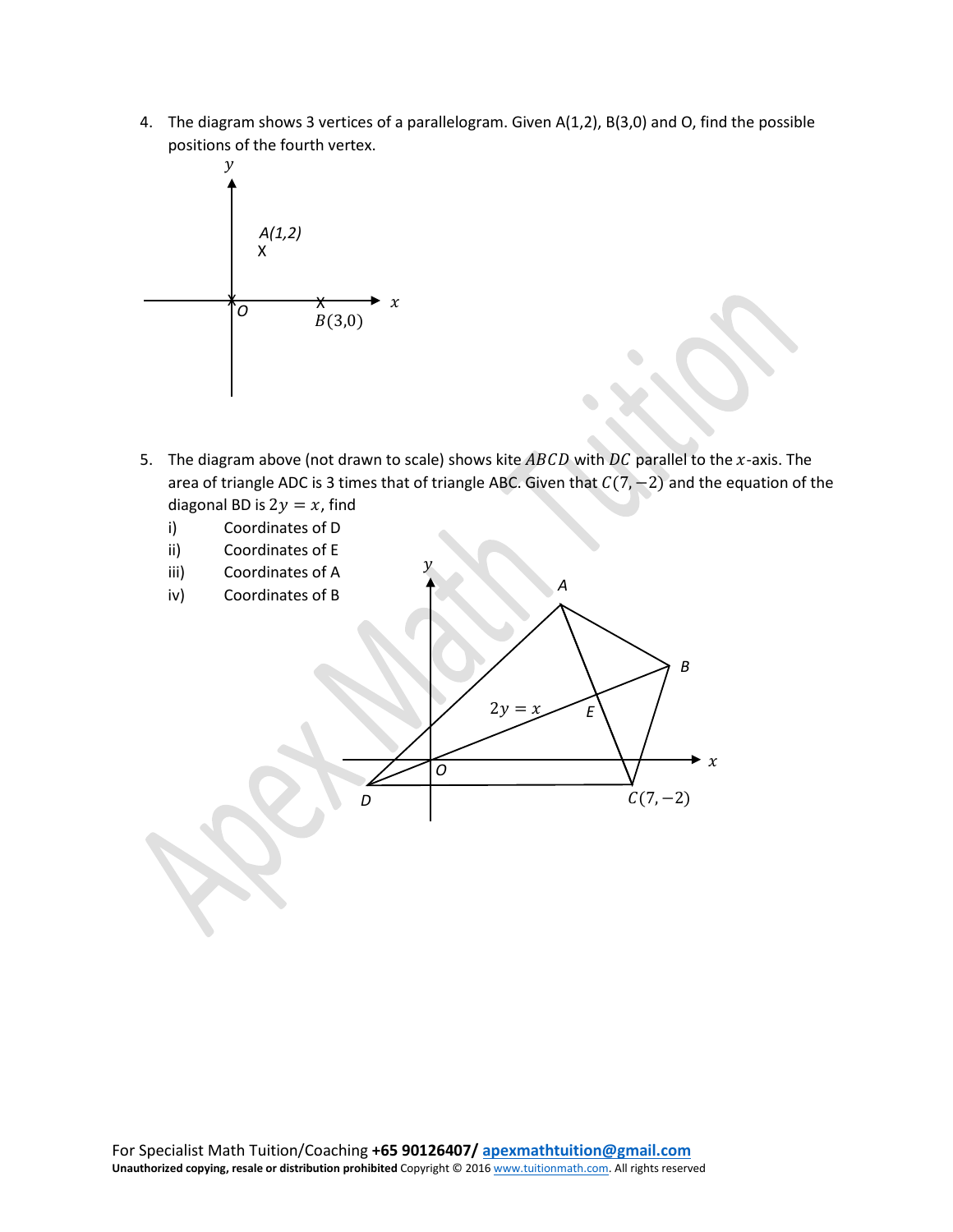4. The diagram shows 3 vertices of a parallelogram. Given A(1,2), B(3,0) and O, find the possible positions of the fourth vertex.



- 5. The diagram above (not drawn to scale) shows kite  $ABCD$  with  $DC$  parallel to the x-axis. The area of triangle ADC is 3 times that of triangle ABC. Given that  $C(7, -2)$  and the equation of the diagonal BD is  $2y = x$ , find
	- i) Coordinates of D
	- ii) Coordinates of E
	- iii) Coordinates of A
	- iv) Coordinates of B



 $\mathcal{Y}$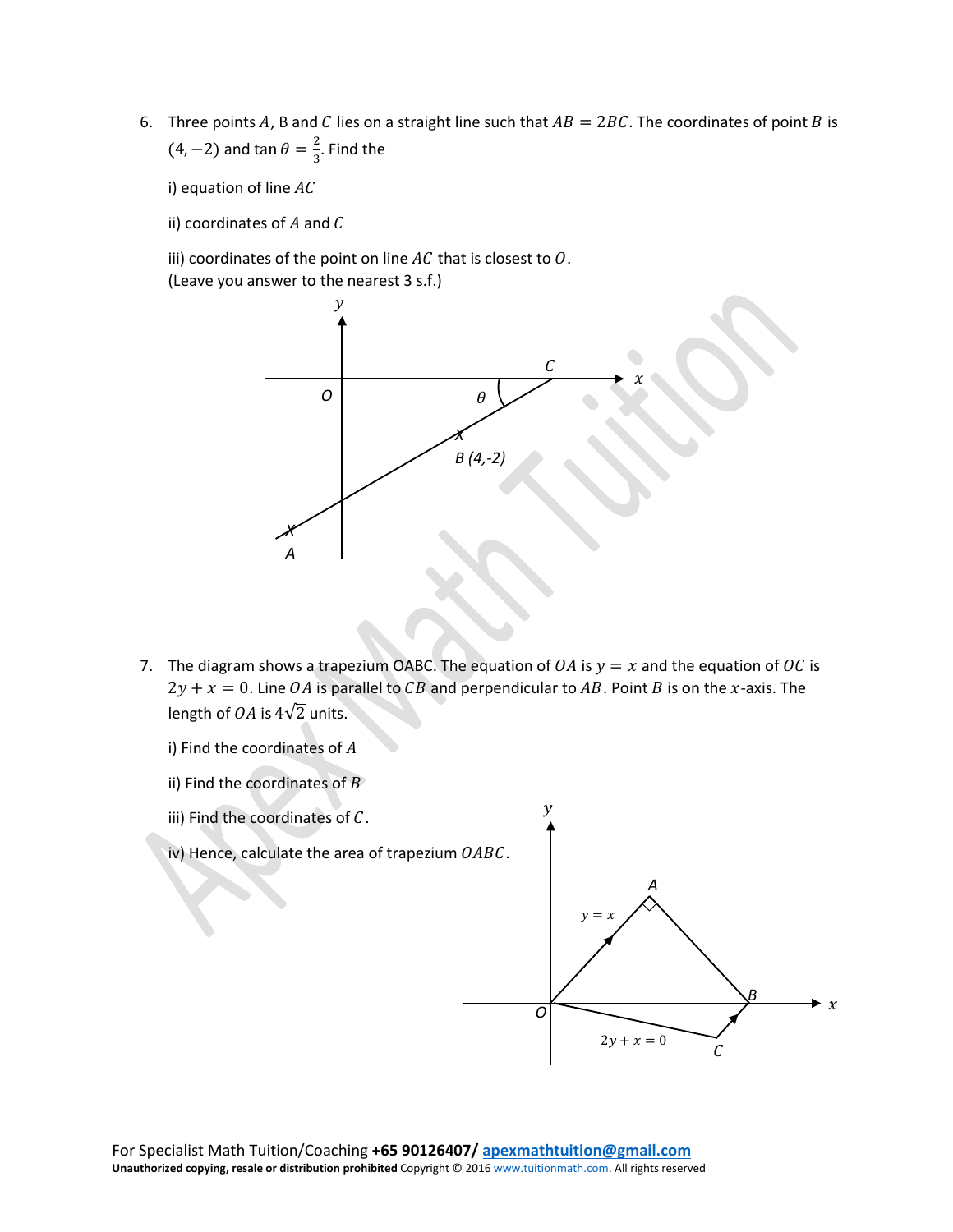6. Three points A, B and C lies on a straight line such that  $AB = 2BC$ . The coordinates of point B is  $(4, -2)$  and tan  $\theta = \frac{2}{3}$ . Find the

i) equation of line  $AC$ 

ii) coordinates of  $A$  and  $C$ 

iii) coordinates of the point on line  $AC$  that is closest to  $O$ . (Leave you answer to the nearest 3 s.f.)



- 7. The diagram shows a trapezium OABC. The equation of  $OA$  is  $y = x$  and the equation of OC is  $2y + x = 0$ . Line OA is parallel to CB and perpendicular to AB. Point B is on the x-axis. The length of  $OA$  is  $4\sqrt{2}$  units.
	- i) Find the coordinates of  $A$
	- ii) Find the coordinates of  $B$

iii) Find the coordinates of  $C$ .

- $\mathcal C$ *A B*  $\chi$  $\mathcal{V}$ *O*  $\nu =$  $2y + x = 0$
- iv) Hence, calculate the area of trapezium  $OABC$ .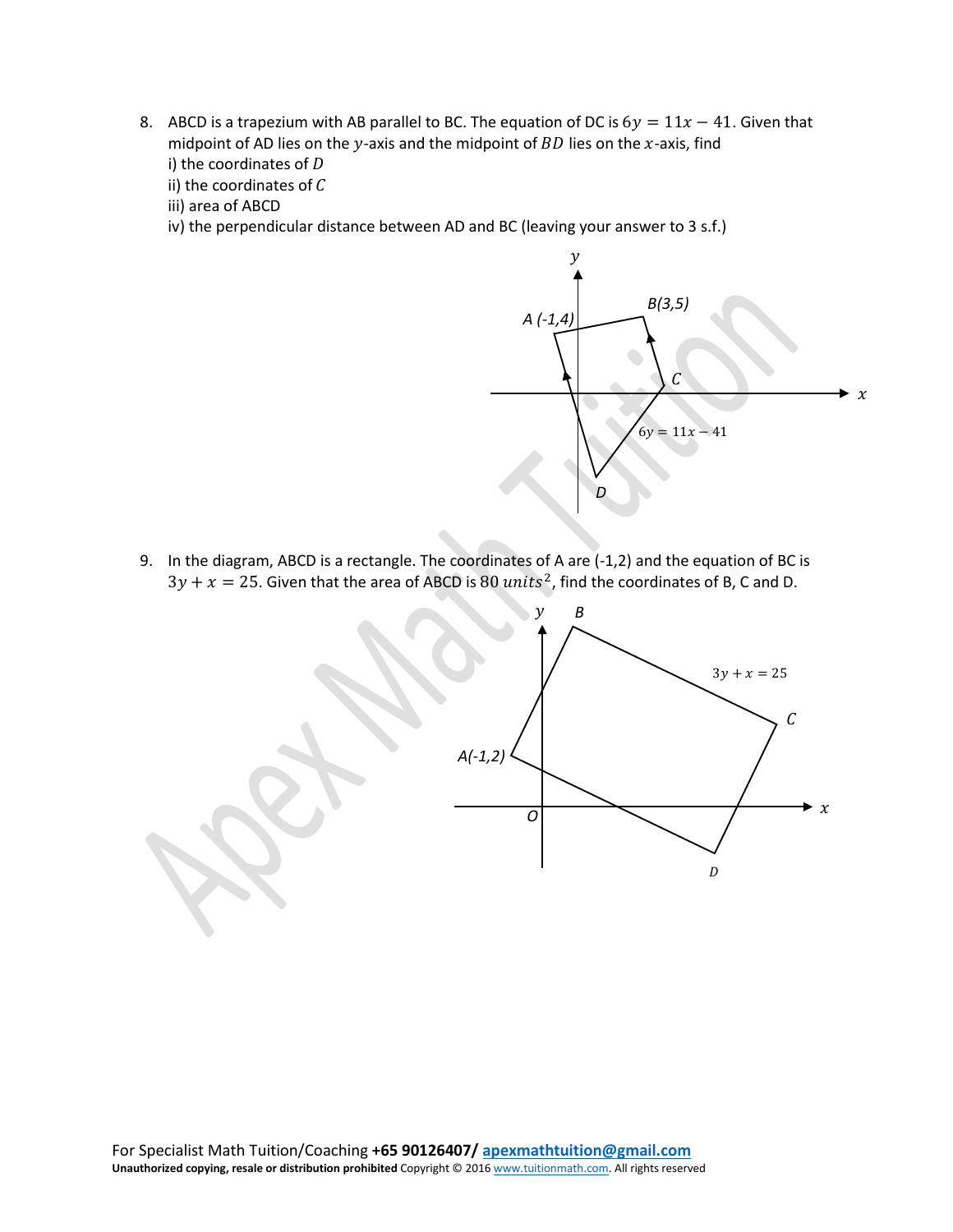- 8. ABCD is a trapezium with AB parallel to BC. The equation of DC is  $6y = 11x 41$ . Given that midpoint of AD lies on the  $y$ -axis and the midpoint of  $BD$  lies on the  $x$ -axis, find i) the coordinates of  $D$ 
	- ii) the coordinates of  $C$
	- iii) area of ABCD
	- iv) the perpendicular distance between AD and BC (leaving your answer to 3 s.f.)



9. In the diagram, ABCD is a rectangle. The coordinates of A are (-1,2) and the equation of BC is  $3y + x = 25$ . Given that the area of ABCD is 80 units<sup>2</sup>, find the coordinates of B, C and D.